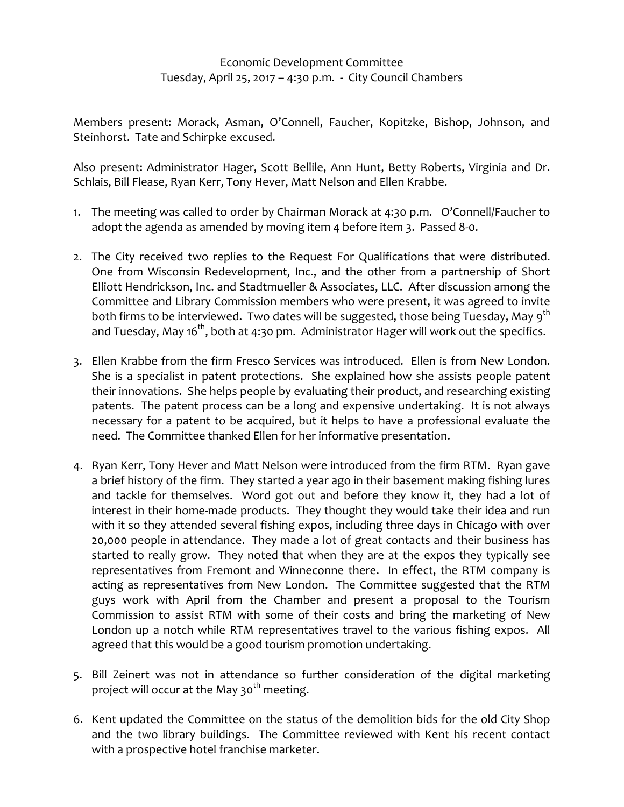## Economic Development Committee Tuesday, April 25, 2017 – 4:30 p.m. ‐ City Council Chambers

Members present: Morack, Asman, O'Connell, Faucher, Kopitzke, Bishop, Johnson, and Steinhorst. Tate and Schirpke excused.

Also present: Administrator Hager, Scott Bellile, Ann Hunt, Betty Roberts, Virginia and Dr. Schlais, Bill Flease, Ryan Kerr, Tony Hever, Matt Nelson and Ellen Krabbe.

- 1. The meeting was called to order by Chairman Morack at 4:30 p.m. O'Connell/Faucher to adopt the agenda as amended by moving item 4 before item 3. Passed 8‐0.
- 2. The City received two replies to the Request For Qualifications that were distributed. One from Wisconsin Redevelopment, Inc., and the other from a partnership of Short Elliott Hendrickson, Inc. and Stadtmueller & Associates, LLC. After discussion among the Committee and Library Commission members who were present, it was agreed to invite both firms to be interviewed. Two dates will be suggested, those being Tuesday, May 9<sup>th</sup> and Tuesday, May 16<sup>th</sup>, both at 4:30 pm. Administrator Hager will work out the specifics.
- 3. Ellen Krabbe from the firm Fresco Services was introduced. Ellen is from New London. She is a specialist in patent protections. She explained how she assists people patent their innovations. She helps people by evaluating their product, and researching existing patents. The patent process can be a long and expensive undertaking. It is not always necessary for a patent to be acquired, but it helps to have a professional evaluate the need. The Committee thanked Ellen for her informative presentation.
- 4. Ryan Kerr, Tony Hever and Matt Nelson were introduced from the firm RTM. Ryan gave a brief history of the firm. They started a year ago in their basement making fishing lures and tackle for themselves. Word got out and before they know it, they had a lot of interest in their home‐made products. They thought they would take their idea and run with it so they attended several fishing expos, including three days in Chicago with over 20,000 people in attendance. They made a lot of great contacts and their business has started to really grow. They noted that when they are at the expos they typically see representatives from Fremont and Winneconne there. In effect, the RTM company is acting as representatives from New London. The Committee suggested that the RTM guys work with April from the Chamber and present a proposal to the Tourism Commission to assist RTM with some of their costs and bring the marketing of New London up a notch while RTM representatives travel to the various fishing expos. All agreed that this would be a good tourism promotion undertaking.
- 5. Bill Zeinert was not in attendance so further consideration of the digital marketing project will occur at the May 30<sup>th</sup> meeting.
- 6. Kent updated the Committee on the status of the demolition bids for the old City Shop and the two library buildings. The Committee reviewed with Kent his recent contact with a prospective hotel franchise marketer.